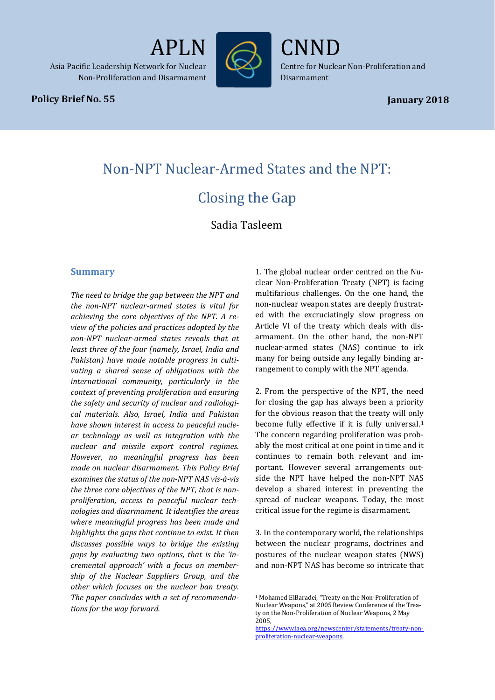

PLN

# **Policy Brief No. 55**

*Policy Brief No. 12* APLN/CNND1

Centre for Nuclear Non-Proliferation and Disarmament

CNND

# Non-NPT Nuclear-Armed States and the NPT: Closing the Gap

Sadia Tasleem

j

# **Summary**

*The need to bridge the gap between the NPT and the non-NPT nuclear-armed states is vital for achieving the core objectives of the NPT. A review of the policies and practices adopted by the non-NPT nuclear-armed states reveals that at least three of the four (namely, Israel, India and Pakistan) have made notable progress in cultivating a shared sense of obligations with the international community, particularly in the context of preventing proliferation and ensuring the safety and security of nuclear and radiological materials. Also, Israel, India and Pakistan have shown interest in access to peaceful nuclear technology as well as integration with the nuclear and missile export control regimes. However, no meaningful progress has been made on nuclear disarmament. This Policy Brief examines the status of the non-NPT NAS vis-à-vis the three core objectives of the NPT, that is nonproliferation, access to peaceful nuclear technologies and disarmament. It identifies the areas where meaningful progress has been made and highlights the gaps that continue to exist. It then discusses possible ways to bridge the existing gaps by evaluating two options, that is the 'incremental approach' with a focus on membership of the Nuclear Suppliers Group, and the other which focuses on the nuclear ban treaty. The paper concludes with a set of recommendations for the way forward.*

1. The global nuclear order centred on the Nuclear Non-Proliferation Treaty (NPT) is facing multifarious challenges. On the one hand, the non-nuclear weapon states are deeply frustrated with the excruciatingly slow progress on Article VI of the treaty which deals with disarmament. On the other hand, the non-NPT nuclear-armed states (NAS) continue to irk many for being outside any legally binding arrangement to comply with the NPT agenda.

2. From the perspective of the NPT, the need for closing the gap has always been a priority for the obvious reason that the treaty will only become fully effective if it is fully universal.<sup>[1](#page-0-0)</sup> The concern regarding proliferation was probably the most critical at one point in time and it continues to remain both relevant and important. However several arrangements outside the NPT have helped the non-NPT NAS develop a shared interest in preventing the spread of nuclear weapons. Today, the most critical issue for the regime is disarmament.

3. In the contemporary world, the relationships between the nuclear programs, doctrines and postures of the nuclear weapon states (NWS) and non-NPT NAS has become so intricate that

<span id="page-0-0"></span><sup>1</sup> Mohamed ElBaradei, "Treaty on the Non-Proliferation of Nuclear Weapons," at 2005 Review Conference of the Treaty on the Non-Proliferation of Nuclear Weapons, 2 May 2005,

[https://www.iaea.org/newscenter/statements/treaty-non](https://www.iaea.org/newscenter/statements/treaty-non-proliferation-nuclear-weapons)[proliferation-nuclear-weapons.](https://www.iaea.org/newscenter/statements/treaty-non-proliferation-nuclear-weapons)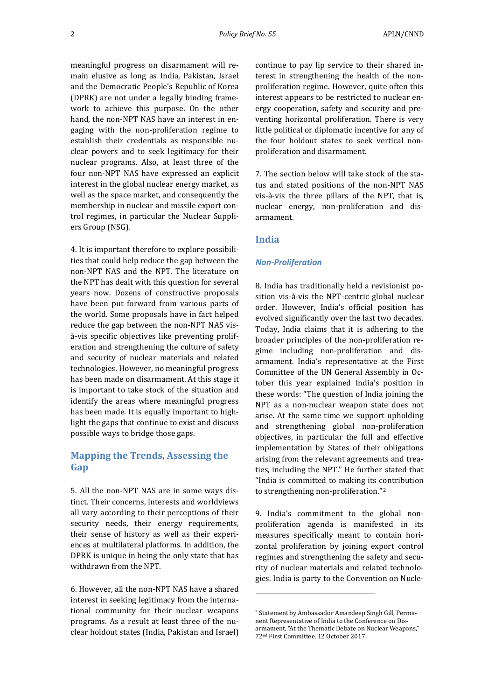meaningful progress on disarmament will remain elusive as long as India, Pakistan, Israel and the Democratic People's Republic of Korea (DPRK) are not under a legally binding framework to achieve this purpose. On the other hand, the non-NPT NAS have an interest in engaging with the non-proliferation regime to establish their credentials as responsible nuclear powers and to seek legitimacy for their nuclear programs. Also, at least three of the four non-NPT NAS have expressed an explicit interest in the global nuclear energy market, as well as the space market, and consequently the membership in nuclear and missile export control regimes, in particular the Nuclear Suppliers Group (NSG).

4. It is important therefore to explore possibilities that could help reduce the gap between the non-NPT NAS and the NPT. The literature on the NPT has dealt with this question for several years now. Dozens of constructive proposals have been put forward from various parts of the world. Some proposals have in fact helped reduce the gap between the non-NPT NAS visà-vis specific objectives like preventing proliferation and strengthening the culture of safety and security of nuclear materials and related technologies. However, no meaningful progress has been made on disarmament. At this stage it is important to take stock of the situation and identify the areas where meaningful progress has been made. It is equally important to highlight the gaps that continue to exist and discuss possible ways to bridge those gaps.

# **Mapping the Trends, Assessing the Gap**

5. All the non-NPT NAS are in some ways distinct. Their concerns, interests and worldviews all vary according to their perceptions of their security needs, their energy requirements, their sense of history as well as their experiences at multilateral platforms. In addition, the DPRK is unique in being the only state that has withdrawn from the NPT.

<span id="page-1-0"></span>6. However, all the non-NPT NAS have a shared interest in seeking legitimacy from the international community for their nuclear weapons programs. As a result at least three of the nuclear holdout states (India, Pakistan and Israel) continue to pay lip service to their shared interest in strengthening the health of the nonproliferation regime. However, quite often this interest appears to be restricted to nuclear energy cooperation, safety and security and preventing horizontal proliferation. There is very little political or diplomatic incentive for any of the four holdout states to seek vertical nonproliferation and disarmament.

7. The section below will take stock of the status and stated positions of the non-NPT NAS vis-à-vis the three pillars of the NPT, that is, nuclear energy, non-proliferation and disarmament.

#### **India**

j

#### *Non-Proliferation*

8. India has traditionally held a revisionist position vis-à-vis the NPT-centric global nuclear order. However, India's official position has evolved significantly over the last two decades. Today, India claims that it is adhering to the broader principles of the non-proliferation regime including non-proliferation and disarmament. India's representative at the First Committee of the UN General Assembly in October this year explained India's position in these words: "The question of India joining the NPT as a non-nuclear weapon state does not arise. At the same time we support upholding and strengthening global non-proliferation objectives, in particular the full and effective implementation by States of their obligations arising from the relevant agreements and treaties, including the NPT." He further stated that "India is committed to making its c[o](#page-1-0)ntribution to strengthening non-proliferation."2

9. India's commitment to the global nonproliferation agenda is manifested in its measures specifically meant to contain horizontal proliferation by joining export control regimes and strengthening the safety and security of nuclear materials and related technologies. India is party to the Convention on Nucle-

<sup>2</sup> Statement by Ambassador Amandeep Singh Gill, Permanent Representative of India to the Conference on Disarmament, "At the Thematic Debate on Nuclear Weapons," 72nd First Committee, 12 October 2017.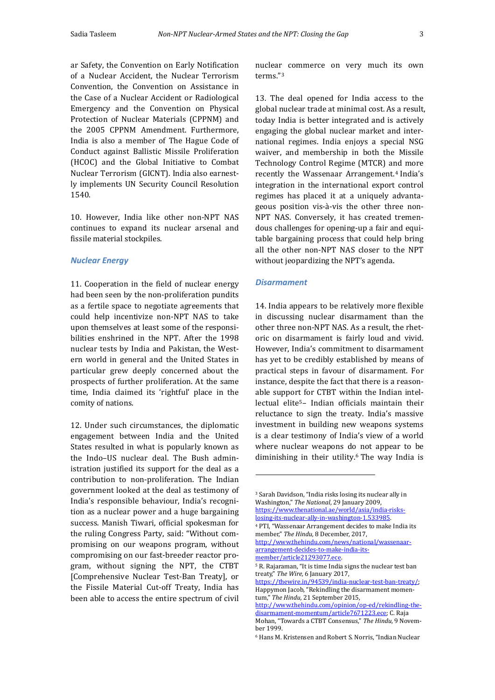ar Safety, the Convention on Early Notification of a Nuclear Accident, the Nuclear Terrorism Convention, the Convention on Assistance in the Case of a Nuclear Accident or Radiological Emergency and the Convention on Physical Protection of Nuclear Materials (CPPNM) and the 2005 CPPNM Amendment. Furthermore, India is also a member of The Hague Code of Conduct against Ballistic Missile Proliferation (HCOC) and the Global Initiative to Combat Nuclear Terrorism (GICNT). India also earnestly implements UN Security Council Resolution 1540.

10. However, India like other non-NPT NAS continues to expand its nuclear arsenal and fissile material stockpiles.

#### *Nuclear Energy*

11. Cooperation in the field of nuclear energy had been seen by the non-proliferation pundits as a fertile space to negotiate agreements that could help incentivize non-NPT NAS to take upon themselves at least some of the responsibilities enshrined in the NPT. After the 1998 nuclear tests by India and Pakistan, the Western world in general and the United States in particular grew deeply concerned about the prospects of further proliferation. At the same time, India claimed its 'rightful' place in the comity of nations.

<span id="page-2-3"></span><span id="page-2-2"></span><span id="page-2-1"></span><span id="page-2-0"></span>12. Under such circumstances, the diplomatic engagement between India and the United States resulted in what is popularly known as the Indo–US nuclear deal. The Bush administration justified its support for the deal as a contribution to non-proliferation. The Indian government looked at the deal as testimony of India's responsible behaviour, India's recognition as a nuclear power and a huge bargaining success. Manish Tiwari, official spokesman for the ruling Congress Party, said: "Without compromising on our weapons program, without compromising on our fast-breeder reactor program, without signing the NPT, the CTBT [Comprehensive Nuclear Test-Ban Treaty], or the Fissile Material Cut-off Treaty, India has been able to access the entire spectrum of civil nuclear commerce on very much its own terms."[3](#page-2-0)

13. The deal opened for India access to the global nuclear trade at minimal cost. As a result, today India is better integrated and is actively engaging the global nuclear market and international regimes. India enjoys a special NSG waiver, and membership in both the Missile Technology Control Regime (MTCR) and more recently the Wassenaar Arrangement.<sup>[4](#page-2-1)</sup> India's integration in the international export control regimes has placed it at a uniquely advantageous position vis-à-vis the other three non-NPT NAS. Conversely, it has created tremendous challenges for opening-up a fair and equitable bargaining process that could help bring all the other non-NPT NAS closer to the NPT without jeopardizing the NPT's agenda.

#### *Disarmament*

j

14. India appears to be relatively more flexible in discussing nuclear disarmament than the other three non-NPT NAS. As a result, the rhetoric on disarmament is fairly loud and vivid. However, India's commitment to disarmament has yet to be credibly established by means of practical steps in favour of disarmament. For instance, despite the fact that there is a reasonable support for CTBT within the Indian intellectual elite[5–](#page-2-2) Indian officials maintain their reluctance to sign the treaty. India's massive investment in building new weapons systems is a clear testimony of India's view of a world where nuclear weapons do not appear to be diminishing in their utility.[6](#page-2-3) The way India is

<sup>3</sup> Sarah Davidson, "India risks losing its nuclear ally in Washington," *The National*, 29 January 2009, [https://www.thenational.ae/world/asia/india-risks-](https://www.thenational.ae/world/asia/india-risks-losing-its-nuclear-ally-in-washington-1.533985)

[losing-its-nuclear-ally-in-washington-1.533985.](https://www.thenational.ae/world/asia/india-risks-losing-its-nuclear-ally-in-washington-1.533985)

<sup>4</sup> PTI, "Wassenaar Arrangement decides to make India its member," *The Hindu,* 8 December, 2017,

[http://www.thehindu.com/news/national/wassenaar](http://www.thehindu.com/news/national/wassenaar-arrangement-decides-to-make-india-its-member/article21293077.ece)[arrangement-decides-to-make-india-its](http://www.thehindu.com/news/national/wassenaar-arrangement-decides-to-make-india-its-member/article21293077.ece)[member/article21293077.ece.](http://www.thehindu.com/news/national/wassenaar-arrangement-decides-to-make-india-its-member/article21293077.ece) 

<sup>5</sup> R. Rajaraman, "It is time India signs the nuclear test ban treaty," *The Wire,* 6 January 2017,

https://thewire.in/94539/india-nuclear-test-ban-treaty/; Happymon Jacob, "Rekindling the disarmament momentum," *The Hindu,* 21 September 2015,

[http://www.thehindu.com/opinion/op-ed/rekindling-the](http://www.thehindu.com/opinion/op-ed/rekindling-the-disarmament-momentum/article7671223.ece)[disarmament-momentum/article7671223.ece;](http://www.thehindu.com/opinion/op-ed/rekindling-the-disarmament-momentum/article7671223.ece) C. Raja Mohan, "Towards a CTBT Consensus," *The Hindu*, 9 November 1999.

<sup>6</sup> Hans M. Kristensen and Robert S. Norris, "Indian Nuclear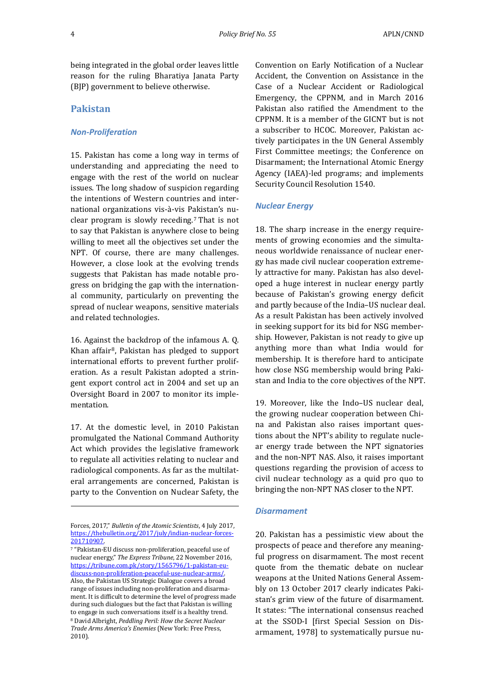being integrated in the global order leaves little reason for the ruling Bharatiya Janata Party (BJP) government to believe otherwise.

#### **Pakistan**

## *Non-Proliferation*

15. Pakistan has come a long way in terms of understanding and appreciating the need to engage with the rest of the world on nuclear issues. The long shadow of suspicion regarding the intentions of Western countries and international organizations vis-à-vis P[ak](#page-3-0)istan's nuclear program is slowly receding.7 That is not to say that Pakistan is anywhere close to being willing to meet all the objectives set under the NPT. Of course, there are many challenges. However, a close look at the evolving trends suggests that Pakistan has made notable progress on bridging the gap with the international community, particularly on preventing the spread of nuclear weapons, sensitive materials and related technologies.

16. Against the backdrop of the infamous A. Q. Khan affair[8](#page-3-1), Pakistan has pledged to support international efforts to prevent further proliferation. As a result Pakistan adopted a stringent export control act in 2004 and set up an Oversight Board in 2007 to monitor its implementation.

17. At the domestic level, in 2010 Pakistan promulgated the National Command Authority Act which provides the legislative framework to regulate all activities relating to nuclear and radiological components. As far as the multilateral arrangements are concerned, Pakistan is party to the Convention on Nuclear Safety, the

I

Convention on Early Notification of a Nuclear Accident, the Convention on Assistance in the Case of a Nuclear Accident or Radiological Emergency, the CPPNM, and in March 2016 Pakistan also ratified the Amendment to the CPPNM. It is a member of the GICNT but is not a subscriber to HCOC. Moreover, Pakistan actively participates in the UN General Assembly First Committee meetings; the Conference on Disarmament; the International Atomic Energy Agency (IAEA)-led programs; and implements Security Council Resolution 1540.

#### *Nuclear Energy*

18. The sharp increase in the energy requirements of growing economies and the simultaneous worldwide renaissance of nuclear energy has made civil nuclear cooperation extremely attractive for many. Pakistan has also developed a huge interest in nuclear energy partly because of Pakistan's growing energy deficit and partly because of the India–US nuclear deal. As a result Pakistan has been actively involved in seeking support for its bid for NSG membership. However, Pakistan is not ready to give up anything more than what India would for membership. It is therefore hard to anticipate how close NSG membership would bring Pakistan and India to the core objectives of the NPT.

19. Moreover, like the Indo–US nuclear deal, the growing nuclear cooperation between China and Pakistan also raises important questions about the NPT's ability to regulate nuclear energy trade between the NPT signatories and the non-NPT NAS. Also, it raises important questions regarding the provision of access to civil nuclear technology as a quid pro quo to bringing the non-NPT NAS closer to the NPT.

#### *Disarmament*

20. Pakistan has a pessimistic view about the prospects of peace and therefore any meaningful progress on disarmament. The most recent quote from the thematic debate on nuclear weapons at the United Nations General Assembly on 13 October 2017 clearly indicates Pakistan's grim view of the future of disarmament. It states: "The international consensus reached at the SSOD-I [first Special Session on Disarmament, 1978] to systematically pursue nu-

Forces, 2017," *Bulletin of the Atomic Scientists*, 4 July 2017, [https://thebulletin.org/2017/july/indian-nuclear-forces-](https://thebulletin.org/2017/july/indian-nuclear-forces-201710907)[201710907.](https://thebulletin.org/2017/july/indian-nuclear-forces-201710907) 

<span id="page-3-1"></span><span id="page-3-0"></span><sup>7</sup> "Pakistan-EU discuss non-proliferation, peaceful use of nuclear energy," *The Express Tribune*, 22 November 2016, [https://tribune.com.pk/story/1565796/1-pakistan-eu](https://tribune.com.pk/story/1565796/1-pakistan-eu-discuss-non-proliferation-peaceful-use-nuclear-arms/)[discuss-non-proliferation-peaceful-use-nuclear-arms/.](https://tribune.com.pk/story/1565796/1-pakistan-eu-discuss-non-proliferation-peaceful-use-nuclear-arms/) Also, the Pakistan US Strategic Dialogue covers a broad range of issues including non-proliferation and disarmament. It is difficult to determine the level of progress made during such dialogues but the fact that Pakistan is willing to engage in such conversations itself is a healthy trend. <sup>8</sup> David Albright, *Peddling Peril: How the Secret Nuclear Trade Arms America's Enemies* (New York: Free Press, 2010).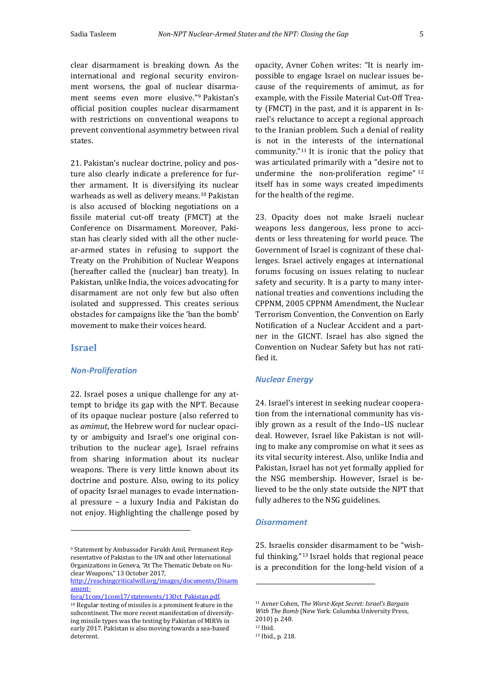clear disarmament is breaking down. As the international and regional security environment worsens, the goal of nuclear disarmament seems even more elusive."[9](#page-4-0) Pakistan's official position couples nuclear disarmament with restrictions on conventional weapons to prevent conventional asymmetry between rival states.

21. Pakistan's nuclear doctrine, policy and posture also clearly indicate a preference for further armament. It is diversifying its nuclear warheads as well as delivery means.<sup>[10](#page-4-1)</sup> Pakistan is also accused of blocking negotiations on a fissile material cut-off treaty (FMCT) at the Conference on Disarmament. Moreover, Pakistan has clearly sided with all the other nuclear-armed states in refusing to support the Treaty on the Prohibition of Nuclear Weapons (hereafter called the (nuclear) ban treaty). In Pakistan, unlike India, the voices advocating for disarmament are not only few but also often isolated and suppressed. This creates serious obstacles for campaigns like the 'ban the bomb' movement to make their voices heard.

#### **Israel**

I

#### *Non-Proliferation*

22. Israel poses a unique challenge for any attempt to bridge its gap with the NPT. Because of its opaque nuclear posture (also referred to as *amimut*, the Hebrew word for nuclear opacity or ambiguity and Israel's one original contribution to the nuclear age), Israel refrains from sharing information about its nuclear weapons. There is very little known about its doctrine and posture. Also, owing to its policy of opacity Israel manages to evade international pressure – a luxury India and Pakistan do not enjoy. Highlighting the challenge posed by

<span id="page-4-4"></span><span id="page-4-3"></span><span id="page-4-2"></span><span id="page-4-1"></span>[fora/1com/1com17/statements/13Oct\\_Pakistan.pdf.](http://reachingcriticalwill.org/images/documents/Disarmament-fora/1com/1com17/statements/13Oct_Pakistan.pdf)  $^{\rm 10}$  Regular testing of missiles is a prominent feature in the subcontinent. The more recent manifestation of diversifying missile types was the testing by Pakistan of MIRVs in early 2017. Pakistan is also moving towards a sea-based deterrent.

opacity, Avner Cohen writes: "It is nearly impossible to engage Israel on nuclear issues because of the requirements of amimut, as for example, with the Fissile Material Cut-Off Treaty (FMCT) in the past, and it is apparent in Israel's reluctance to accept a regional approach to the Iranian problem. Such a denial of reality is not in the interests of the international community."[11](#page-4-2) It is ironic that the policy that was articulated primarily with a "desire not [to](#page-4-3)  undermine the non-proliferation regime" 12 itself has in some ways created impediments for the health of the regime.

23. Opacity does not make Israeli nuclear weapons less dangerous, less prone to accidents or less threatening for world peace. The Government of Israel is cognizant of these challenges. Israel actively engages at international forums focusing on issues relating to nuclear safety and security. It is a party to many international treaties and conventions including the CPPNM, 2005 CPPNM Amendment, the Nuclear Terrorism Convention, the Convention on Early Notification of a Nuclear Accident and a partner in the GICNT. Israel has also signed the Convention on Nuclear Safety but has not ratified it.

#### *Nuclear Energy*

24. Israel's interest in seeking nuclear cooperation from the international community has visibly grown as a result of the Indo–US nuclear deal. However, Israel like Pakistan is not willing to make any compromise on what it sees as its vital security interest. Also, unlike India and Pakistan, Israel has not yet formally applied for the NSG membership. However, Israel is believed to be the only state outside the NPT that fully adheres to the NSG guidelines.

### *Disarmament*

25. Israelis consider disarmament to be "wishful thinking."[13](#page-4-4) Israel holds that regional peace is a precondition for the long-held vision of a

1

<span id="page-4-0"></span><sup>9</sup> Statement by Ambassador Farukh Amil, Permanent Representative of Pakistan to the UN and other International Organizations in Geneva, "At The Thematic Debate on Nuclear Weapons," 13 October 2017,

[http://reachingcriticalwill.org/images/documents/Disarm](http://reachingcriticalwill.org/images/documents/Disarmament-fora/1com/1com17/statements/13Oct_Pakistan.pdf) ament-

<sup>11</sup> Avner Cohen, *The Worst-Kept Secret: Israel's Bargain With The Bomb* (New York: Columbia University Press, 2010) p. 248. <sup>12</sup> Ibid.

<sup>13</sup> Ibid., p. 218.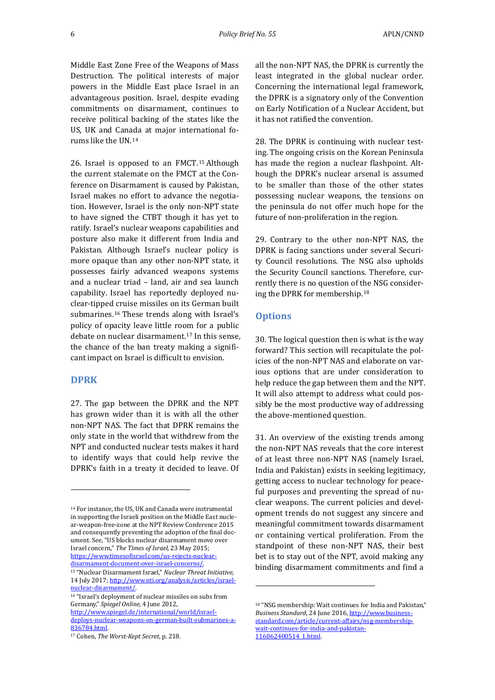Middle East Zone Free of the Weapons of Mass Destruction. The political interests of major powers in the Middle East place Israel in an advantageous position. Israel, despite evading commitments on disarmament, continues to receive political backing of the states like the US, UK and Canada at major international forums like the UN.[14](#page-5-0)

26. Israel is opposed to an FMCT.[15](#page-5-1) Although the current stalemate on the FMCT at the Conference on Disarmament is caused by Pakistan, Israel makes no effort to advance the negotiation. However, Israel is the only non-NPT state to have signed the CTBT though it has yet to ratify. Israel's nuclear weapons capabilities and posture also make it different from India and Pakistan. Although Israel's nuclear policy is more opaque than any other non-NPT state, it possesses fairly advanced weapons systems and a nuclear triad – land, air and sea launch capability. Israel has reportedly deployed nuclear-tipped cruise missiles on its German built submarines.[16](#page-5-2) These trends along with Israel's policy of opacity leave little room for a public debate on nuclear disarmament.[17](#page-5-3) In this sense, the chance of the ban treaty making a significant impact on Israel is difficult to envision.

#### **DPRK**

I

27. The gap between the DPRK and the NPT has grown wider than it is with all the other non-NPT NAS. The fact that DPRK remains the only state in the world that withdrew from the NPT and conducted nuclear tests makes it hard to identify ways that could help revive the DPRK's faith in a treaty it decided to leave. Of all the non-NPT NAS, the DPRK is currently the least integrated in the global nuclear order. Concerning the international legal framework, the DPRK is a signatory only of the Convention on Early Notification of a Nuclear Accident, but it has not ratified the convention.

28. The DPRK is continuing with nuclear testing. The ongoing crisis on the Korean Peninsula has made the region a nuclear flashpoint. Although the DPRK's nuclear arsenal is assumed to be smaller than those of the other states possessing nuclear weapons, the tensions on the peninsula do not offer much hope for the future of non-proliferation in the region.

29. Contrary to the other non-NPT NAS, the DPRK is facing sanctions under several Security Council resolutions. The NSG also upholds the Security Council sanctions. Therefore, currently there is no question of the NSG considering the DPRK for membership.[18](#page-5-4)

## **Options**

j

30. The logical question then is what is the way forward? This section will recapitulate the policies of the non-NPT NAS and elaborate on various options that are under consideration to help reduce the gap between them and the NPT. It will also attempt to address what could possibly be the most productive way of addressing the above-mentioned question.

31. An overview of the existing trends among the non-NPT NAS reveals that the core interest of at least three non-NPT NAS (namely Israel, India and Pakistan) exists in seeking legitimacy, getting access to nuclear technology for peaceful purposes and preventing the spread of nuclear weapons. The current policies and development trends do not suggest any sincere and meaningful commitment towards disarmament or containing vertical proliferation. From the standpoint of these non-NPT NAS, their best bet is to stay out of the NPT, avoid making any binding disarmament commitments and find a

<span id="page-5-0"></span><sup>14</sup> For instance, the US, UK and Canada were instrumental in supporting the Israeli position on the Middle East nuclear-weapon-free-zone at the NPT Review Conference 2015 and consequently preventing the adoption of the final document. See, "US blocks nuclear disarmament move over Israel concern," *The Times of Israel*, 23 May 2015; [https://www.timesofisrael.com/us-rejects-nuclear](https://www.timesofisrael.com/us-rejects-nuclear-disarmament-document-over-israel-concerns/)[disarmament-document-over-israel-concerns/.](https://www.timesofisrael.com/us-rejects-nuclear-disarmament-document-over-israel-concerns/)

<span id="page-5-1"></span><sup>15</sup> "Nuclear Disarmament Israel," *Nuclear Threat Initiative*, 14 July 2017[; http://www.nti.org/analysis/articles/israel](http://www.nti.org/analysis/articles/israel-nuclear-disarmament/)[nuclear-disarmament/.](http://www.nti.org/analysis/articles/israel-nuclear-disarmament/) 

<span id="page-5-4"></span><span id="page-5-2"></span><sup>16</sup> "Israel's deployment of nuclear missiles on subs from Germany," *Spiegel Online*, 4 June 2012, [http://www.spiegel.de/international/world/israel](http://www.spiegel.de/international/world/israel-deploys-nuclear-weapons-on-german-built-submarines-a-836784.html)[deploys-nuclear-weapons-on-german-built-submarines-a-](http://www.spiegel.de/international/world/israel-deploys-nuclear-weapons-on-german-built-submarines-a-836784.html)[836784.html.](http://www.spiegel.de/international/world/israel-deploys-nuclear-weapons-on-german-built-submarines-a-836784.html)

<span id="page-5-3"></span><sup>17</sup> Cohen, *The Worst-Kept Secret*, p. 218.

<sup>18</sup> "NSG membership: Wait continues for India and Pakistan," *Business Standard*, 24 June 2016[, http://www.business](http://www.business-standard.com/article/current-affairs/nsg-membership-wait-continues-for-india-and-pakistan-116062400514_1.html)[standard.com/article/current-affairs/nsg-membership](http://www.business-standard.com/article/current-affairs/nsg-membership-wait-continues-for-india-and-pakistan-116062400514_1.html)[wait-continues-for-india-and-pakistan-](http://www.business-standard.com/article/current-affairs/nsg-membership-wait-continues-for-india-and-pakistan-116062400514_1.html)[116062400514\\_1.html.](http://www.business-standard.com/article/current-affairs/nsg-membership-wait-continues-for-india-and-pakistan-116062400514_1.html)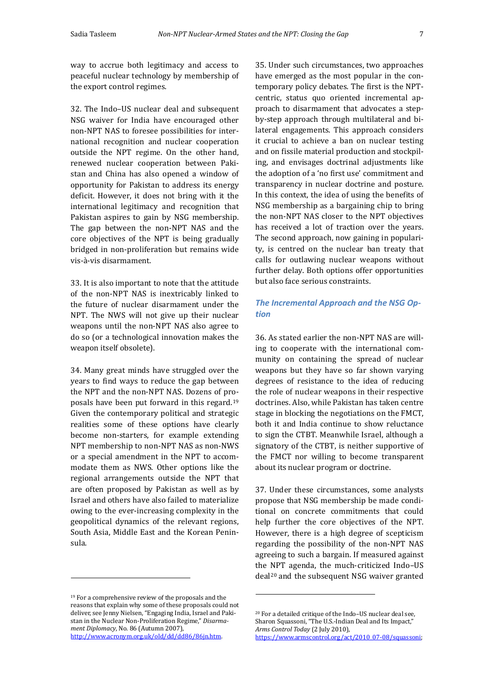way to accrue both legitimacy and access to peaceful nuclear technology by membership of the export control regimes.

32. The Indo–US nuclear deal and subsequent NSG waiver for India have encouraged other non-NPT NAS to foresee possibilities for international recognition and nuclear cooperation outside the NPT regime. On the other hand, renewed nuclear cooperation between Pakistan and China has also opened a window of opportunity for Pakistan to address its energy deficit. However, it does not bring with it the international legitimacy and recognition that Pakistan aspires to gain by NSG membership. The gap between the non-NPT NAS and the core objectives of the NPT is being gradually bridged in non-proliferation but remains wide vis-à-vis disarmament.

33. It is also important to note that the attitude of the non-NPT NAS is inextricably linked to the future of nuclear disarmament under the NPT. The NWS will not give up their nuclear weapons until the non-NPT NAS also agree to do so (or a technological innovation makes the weapon itself obsolete).

34. Many great minds have struggled over the years to find ways to reduce the gap between the NPT and the non-NPT NAS. Dozens of proposals have been put forward in this regard.[19](#page-6-0) Given the contemporary political and strategic realities some of these options have clearly become non-starters, for example extending NPT membership to non-NPT NAS as non-NWS or a special amendment in the NPT to accommodate them as NWS. Other options like the regional arrangements outside the NPT that are often proposed by Pakistan as well as by Israel and others have also failed to materialize owing to the ever-increasing complexity in the geopolitical dynamics of the relevant regions, South Asia, Middle East and the Korean Peninsula.

j

35. Under such circumstances, two approaches have emerged as the most popular in the contemporary policy debates. The first is the NPTcentric, status quo oriented incremental approach to disarmament that advocates a stepby-step approach through multilateral and bilateral engagements. This approach considers it crucial to achieve a ban on nuclear testing and on fissile material production and stockpiling, and envisages doctrinal adjustments like the adoption of a 'no first use' commitment and transparency in nuclear doctrine and posture. In this context, the idea of using the benefits of NSG membership as a bargaining chip to bring the non-NPT NAS closer to the NPT objectives has received a lot of traction over the years. The second approach, now gaining in popularity, is centred on the nuclear ban treaty that calls for outlawing nuclear weapons without further delay. Both options offer opportunities but also face serious constraints.

# *The Incremental Approach and the NSG Option*

36. As stated earlier the non-NPT NAS are willing to cooperate with the international community on containing the spread of nuclear weapons but they have so far shown varying degrees of resistance to the idea of reducing the role of nuclear weapons in their respective doctrines. Also, while Pakistan has taken centre stage in blocking the negotiations on the FMCT, both it and India continue to show reluctance to sign the CTBT. Meanwhile Israel, although a signatory of the CTBT, is neither supportive of the FMCT nor willing to become transparent about its nuclear program or doctrine.

37. Under these circumstances, some analysts propose that NSG membership be made conditional on concrete commitments that could help further the core objectives of the NPT. However, there is a high degree of scepticism regarding the possibility of the non-NPT NAS agreeing to such a bargain. If measured against the NPT agenda, the much-criticized Indo–US deal<sup>[20](#page-6-1)</sup> and the subsequent NSG waiver granted

j

<span id="page-6-1"></span><span id="page-6-0"></span><sup>19</sup> For a comprehensive review of the proposals and the reasons that explain why some of these proposals could not deliver, see Jenny Nielsen, "Engaging India, Israel and Pakistan in the Nuclear Non-Proliferation Regime," *Disarmament Diplomacy*, No. 86 (Autumn 2007), [http://www.acronym.org.uk/old/dd/dd86/86jn.htm.](http://www.acronym.org.uk/old/dd/dd86/86jn.htm)

<sup>20</sup> For a detailed critique of the Indo–US nuclear deal see, Sharon Squassoni, "The U.S.-Indian Deal and Its Impact," *Arms Control Today* (2 July 2010), [https://www.armscontrol.org/act/2010\\_07-08/squassoni;](https://www.armscontrol.org/act/2010_07-08/squassoni)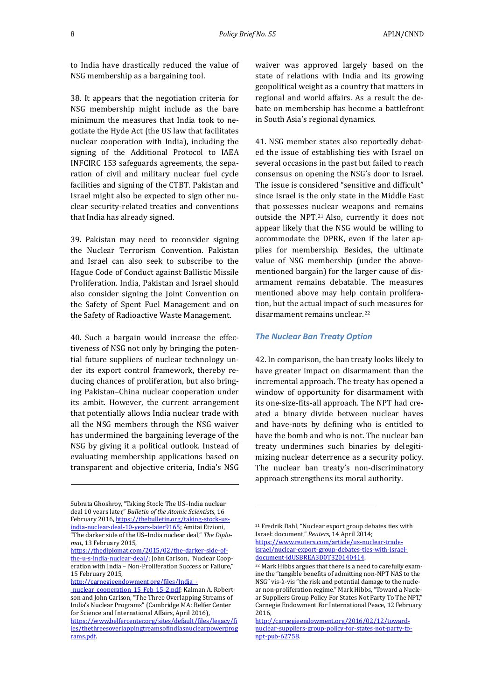to India have drastically reduced the value of NSG membership as a bargaining tool.

38. It appears that the negotiation criteria for NSG membership might include as the bare minimum the measures that India took to negotiate the Hyde Act (the US law that facilitates nuclear cooperation with India), including the signing of the Additional Protocol to IAEA INFCIRC 153 safeguards agreements, the separation of civil and military nuclear fuel cycle facilities and signing of the CTBT. Pakistan and Israel might also be expected to sign other nuclear security-related treaties and conventions that India has already signed.

39. Pakistan may need to reconsider signing the Nuclear Terrorism Convention. Pakistan and Israel can also seek to subscribe to the Hague Code of Conduct against Ballistic Missile Proliferation. India, Pakistan and Israel should also consider signing the Joint Convention on the Safety of Spent Fuel Management and on the Safety of Radioactive Waste Management.

40. Such a bargain would increase the effectiveness of NSG not only by bringing the potential future suppliers of nuclear technology under its export control framework, thereby reducing chances of proliferation, but also bringing Pakistan–China nuclear cooperation under its ambit. However, the current arrangement that potentially allows India nuclear trade with all the NSG members through the NSG waiver has undermined the bargaining leverage of the NSG by giving it a political outlook. Instead of evaluating membership applications based on transparent and objective criteria, India's NSG

<span id="page-7-1"></span>http://carnegieendowment.org/files/India -

I

waiver was approved largely based on the state of relations with India and its growing geopolitical weight as a country that matters in regional and world affairs. As a result the debate on membership has become a battlefront in South Asia's regional dynamics.

41. NSG member states also reportedly debated the issue of establishing ties with Israel on several occasions in the past but failed to reach consensus on opening the NSG's door to Israel. The issue is considered "sensitive and difficult" since Israel is the only state in the Middle East that possesses nuclear weapons and remains outside the NPT.[21](#page-7-0) Also, currently it does not appear likely that the NSG would be willing to accommodate the DPRK, even if the later applies for membership. Besides, the ultimate value of NSG membership (under the abovementioned bargain) for the larger cause of disarmament remains debatable. The measures mentioned above may help contain proliferation, but the actual impact of such measures for disarmament remains unclear.<sup>[22](#page-7-1)</sup>

#### *The Nuclear Ban Treaty Option*

42. In comparison, the ban treaty looks likely to have greater impact on disarmament than the incremental approach. The treaty has opened a window of opportunity for disarmament with its one-size-fits-all approach. The NPT had created a binary divide between nuclear haves and have-nots by defining who is entitled to have the bomb and who is not. The nuclear ban treaty undermines such binaries by delegitimizing nuclear deterrence as a security policy. The nuclear ban treaty's non-discriminatory approach strengthens its moral authority.

j

<span id="page-7-0"></span>Subrata Ghoshroy, "Taking Stock: The US–India nuclear deal 10 years later," *Bulletin of the Atomic Scientists*, 16 February 2016[, https://thebulletin.org/taking-stock-us](https://thebulletin.org/taking-stock-us-india-nuclear-deal-10-years-later9165)[india-nuclear-deal-10-years-later9165;](https://thebulletin.org/taking-stock-us-india-nuclear-deal-10-years-later9165) Amitai Etzioni, "The darker side of the US–India nuclear deal," *The Diplomat*, 13 February 2015,

[https://thediplomat.com/2015/02/the-darker-side-of](https://thediplomat.com/2015/02/the-darker-side-of-the-u-s-india-nuclear-deal/)[the-u-s-india-nuclear-deal/;](https://thediplomat.com/2015/02/the-darker-side-of-the-u-s-india-nuclear-deal/) John Carlson, "Nuclear Cooperation with India – Non-Proliferation Success or Failure," 15 February 2015,

nuclear cooperation 15 Feb 15 2.pdf; Kalman A. Robertson and John Carlson, "The Three Overlapping Streams of India's Nuclear Programs" (Cambridge MA: Belfer Center for Science and International Affairs, April 2016),

[https://www.belfercenter.org/sites/default/files/legacy/fi](https://www.belfercenter.org/sites/default/files/legacy/files/thethreesoverlappingtreamsofindiasnuclearpowerprograms.pdf) [les/thethreesoverlappingtreamsofindiasnuclearpowerprog](https://www.belfercenter.org/sites/default/files/legacy/files/thethreesoverlappingtreamsofindiasnuclearpowerprograms.pdf) [rams.pdf.](https://www.belfercenter.org/sites/default/files/legacy/files/thethreesoverlappingtreamsofindiasnuclearpowerprograms.pdf) 

<sup>21</sup> Fredrik Dahl, "Nuclear export group debates ties with Israel: document," *Reuters*, 14 April 2014; [https://www.reuters.com/article/us-nuclear-trade](https://www.reuters.com/article/us-nuclear-trade-israel/nuclear-export-group-debates-ties-with-israel-document-idUSBREA3D0T320140414)[israel/nuclear-export-group-debates-ties-with-israel](https://www.reuters.com/article/us-nuclear-trade-israel/nuclear-export-group-debates-ties-with-israel-document-idUSBREA3D0T320140414)[document-idUSBREA3D0T320140414.](https://www.reuters.com/article/us-nuclear-trade-israel/nuclear-export-group-debates-ties-with-israel-document-idUSBREA3D0T320140414) 

<sup>22</sup> Mark Hibbs argues that there is a need to carefully examine the "tangible benefits of admitting non-NPT NAS to the NSG" vis-à-vis "the risk and potential damage to the nuclear non-proliferation regime." Mark Hibbs, "Toward a Nuclear Suppliers Group Policy For States Not Party To The NPT," Carnegie Endowment For International Peace, 12 February 2016,

[http://carnegieendowment.org/2016/02/12/toward](http://carnegieendowment.org/2016/02/12/toward-nuclear-suppliers-group-policy-for-states-not-party-to-npt-pub-62758)[nuclear-suppliers-group-policy-for-states-not-party-to](http://carnegieendowment.org/2016/02/12/toward-nuclear-suppliers-group-policy-for-states-not-party-to-npt-pub-62758)[npt-pub-62758.](http://carnegieendowment.org/2016/02/12/toward-nuclear-suppliers-group-policy-for-states-not-party-to-npt-pub-62758)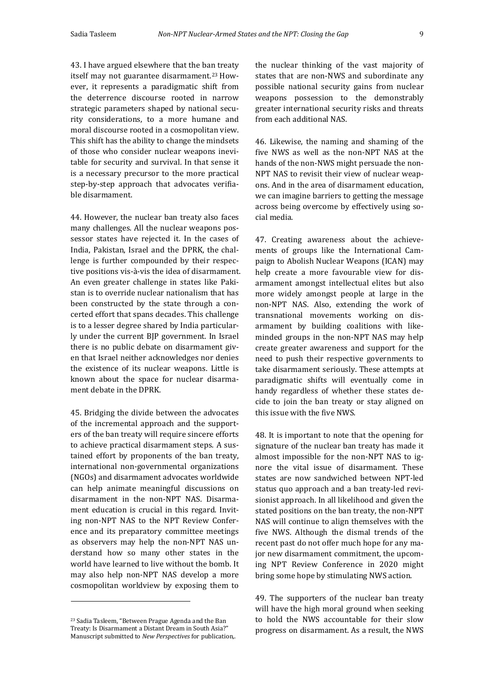43. I have argued elsewhere that the ban treaty itself may not guarantee disarmament.<sup>[23](#page-8-0)</sup> However, it represents a paradigmatic shift from the deterrence discourse rooted in narrow strategic parameters shaped by national security considerations, to a more humane and moral discourse rooted in a cosmopolitan view. This shift has the ability to change the mindsets of those who consider nuclear weapons inevitable for security and survival. In that sense it is a necessary precursor to the more practical step-by-step approach that advocates verifiable disarmament.

44. However, the nuclear ban treaty also faces many challenges. All the nuclear weapons possessor states have rejected it. In the cases of India, Pakistan, Israel and the DPRK, the challenge is further compounded by their respective positions vis-à-vis the idea of disarmament. An even greater challenge in states like Pakistan is to override nuclear nationalism that has been constructed by the state through a concerted effort that spans decades. This challenge is to a lesser degree shared by India particularly under the current BJP government. In Israel there is no public debate on disarmament given that Israel neither acknowledges nor denies the existence of its nuclear weapons. Little is known about the space for nuclear disarmament debate in the DPRK.

45. Bridging the divide between the advocates of the incremental approach and the supporters of the ban treaty will require sincere efforts to achieve practical disarmament steps. A sustained effort by proponents of the ban treaty, international non-governmental organizations (NGOs) and disarmament advocates worldwide can help animate meaningful discussions on disarmament in the non-NPT NAS. Disarmament education is crucial in this regard. Inviting non-NPT NAS to the NPT Review Conference and its preparatory committee meetings as observers may help the non-NPT NAS understand how so many other states in the world have learned to live without the bomb. It may also help non-NPT NAS develop a more cosmopolitan worldview by exposing them to

j

the nuclear thinking of the vast majority of states that are non-NWS and subordinate any possible national security gains from nuclear weapons possession to the demonstrably greater international security risks and threats from each additional NAS.

46. Likewise, the naming and shaming of the five NWS as well as the non-NPT NAS at the hands of the non-NWS might persuade the non-NPT NAS to revisit their view of nuclear weapons. And in the area of disarmament education, we can imagine barriers to getting the message across being overcome by effectively using social media.

47. Creating awareness about the achievements of groups like the International Campaign to Abolish Nuclear Weapons (ICAN) may help create a more favourable view for disarmament amongst intellectual elites but also more widely amongst people at large in the non-NPT NAS. Also, extending the work of transnational movements working on disarmament by building coalitions with likeminded groups in the non-NPT NAS may help create greater awareness and support for the need to push their respective governments to take disarmament seriously. These attempts at paradigmatic shifts will eventually come in handy regardless of whether these states decide to join the ban treaty or stay aligned on this issue with the five NWS.

48. It is important to note that the opening for signature of the nuclear ban treaty has made it almost impossible for the non-NPT NAS to ignore the vital issue of disarmament. These states are now sandwiched between NPT-led status quo approach and a ban treaty-led revisionist approach. In all likelihood and given the stated positions on the ban treaty, the non-NPT NAS will continue to align themselves with the five NWS. Although the dismal trends of the recent past do not offer much hope for any major new disarmament commitment, the upcoming NPT Review Conference in 2020 might bring some hope by stimulating NWS action.

49. The supporters of the nuclear ban treaty will have the high moral ground when seeking to hold the NWS accountable for their slow progress on disarmament. As a result, the NWS

<span id="page-8-0"></span><sup>23</sup> Sadia Tasleem, "Between Prague Agenda and the Ban Treaty: Is Disarmament a Distant Dream in South Asia?" Manuscript submitted to *New Perspectives* for publication,.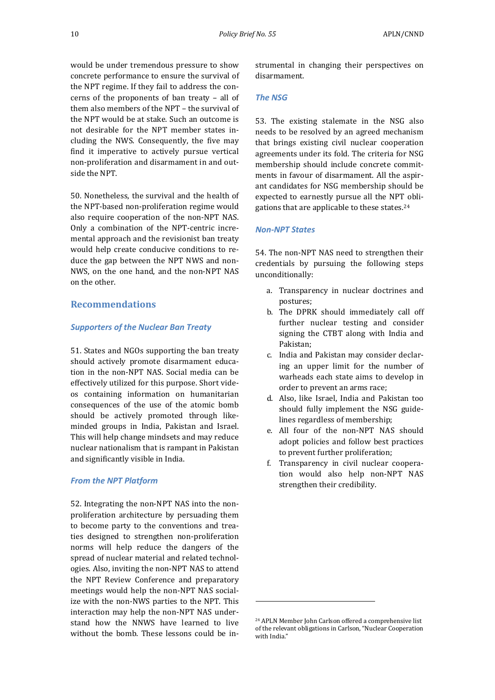would be under tremendous pressure to show concrete performance to ensure the survival of the NPT regime. If they fail to address the concerns of the proponents of ban treaty – all of them also members of the NPT – the survival of the NPT would be at stake. Such an outcome is not desirable for the NPT member states including the NWS. Consequently, the five may find it imperative to actively pursue vertical non-proliferation and disarmament in and outside the NPT.

50. Nonetheless, the survival and the health of the NPT-based non-proliferation regime would also require cooperation of the non-NPT NAS. Only a combination of the NPT-centric incremental approach and the revisionist ban treaty would help create conducive conditions to reduce the gap between the NPT NWS and non-NWS, on the one hand, and the non-NPT NAS on the other.

# **Recommendations**

#### *Supporters of the Nuclear Ban Treaty*

51. States and NGOs supporting the ban treaty should actively promote disarmament education in the non-NPT NAS. Social media can be effectively utilized for this purpose. Short videos containing information on humanitarian consequences of the use of the atomic bomb should be actively promoted through likeminded groups in India, Pakistan and Israel. This will help change mindsets and may reduce nuclear nationalism that is rampant in Pakistan and significantly visible in India.

#### *From the NPT Platform*

<span id="page-9-0"></span>52. Integrating the non-NPT NAS into the nonproliferation architecture by persuading them to become party to the conventions and treaties designed to strengthen non-proliferation norms will help reduce the dangers of the spread of nuclear material and related technologies. Also, inviting the non-NPT NAS to attend the NPT Review Conference and preparatory meetings would help the non-NPT NAS socialize with the non-NWS parties to the NPT. This interaction may help the non-NPT NAS understand how the NNWS have learned to live without the bomb. These lessons could be instrumental in changing their perspectives on disarmament.

## *The NSG*

53. The existing stalemate in the NSG also needs to be resolved by an agreed mechanism that brings existing civil nuclear cooperation agreements under its fold. The criteria for NSG membership should include concrete commitments in favour of disarmament. All the aspirant candidates for NSG membership should be expected to earnestly pursue all the NPT obligations that are applicable to these states.[24](#page-9-0)

#### *Non-NPT States*

54. The non-NPT NAS need to strengthen their credentials by pursuing the following steps unconditionally:

- a. Transparency in nuclear doctrines and postures;
- b. The DPRK should immediately call off further nuclear testing and consider signing the CTBT along with India and Pakistan;
- c. India and Pakistan may consider declaring an upper limit for the number of warheads each state aims to develop in order to prevent an arms race;
- d. Also, like Israel, India and Pakistan too should fully implement the NSG guidelines regardless of membership;
- e. All four of the non-NPT NAS should adopt policies and follow best practices to prevent further proliferation;
- f. Transparency in civil nuclear cooperation would also help non-NPT NAS strengthen their credibility.

j

<sup>24</sup> APLN Member John Carlson offered a comprehensive list of the relevant obligations in Carlson, "Nuclear Cooperation with India."